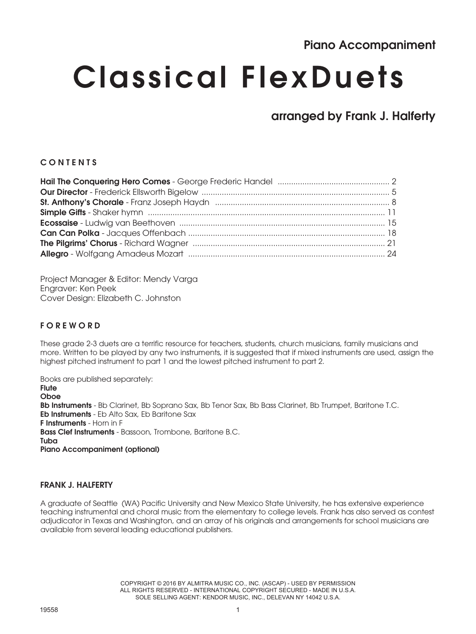Piano Accompaniment

# Classical FlexDuets

### arranged by Frank J. Halferty

#### **CONTENTS**

Project Manager & Editor: Mendy Varga Engraver: Ken Peek Cover Design: Elizabeth C. Johnston

#### F O R E W O R D

These grade 2-3 duets are a terrific resource for teachers, students, church musicians, family musicians and more. Written to be played by any two instruments, it is suggested that if mixed instruments are used, assign the highest pitched instrument to part 1 and the lowest pitched instrument to part 2.

Books are published separately: **Flute** Oboe Bb Instruments - Bb Clarinet, Bb Soprano Sax, Bb Tenor Sax, Bb Bass Clarinet, Bb Trumpet, Baritone T.C. Eb Instruments - Eb Alto Sax, Eb Baritone Sax **F Instruments - Horn in F** Bass Clef Instruments - Bassoon, Trombone, Baritone B.C. Tuba Piano Accompaniment (optional)

#### FRANK J. HALFERTY

A graduate of Seattle (WA) Pacific University and New Mexico State University, he has extensive experience teaching instrumental and choral music from the elementary to college levels. Frank has also served as contest adjudicator in Texas and Washington, and an array of his originals and arrangements for school musicians are available from several leading educational publishers.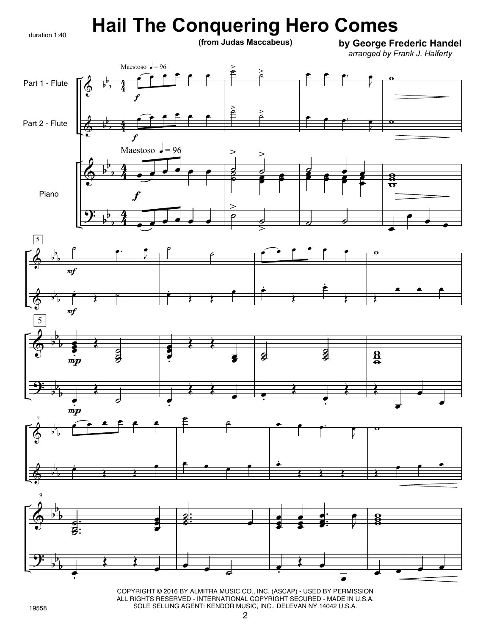#### duration 1:40

# **Hail The Conquering Hero Comes**

**(from Judas Maccabeus)**

**by George Frederic Handel** *arranged by Frank J. Halferty*

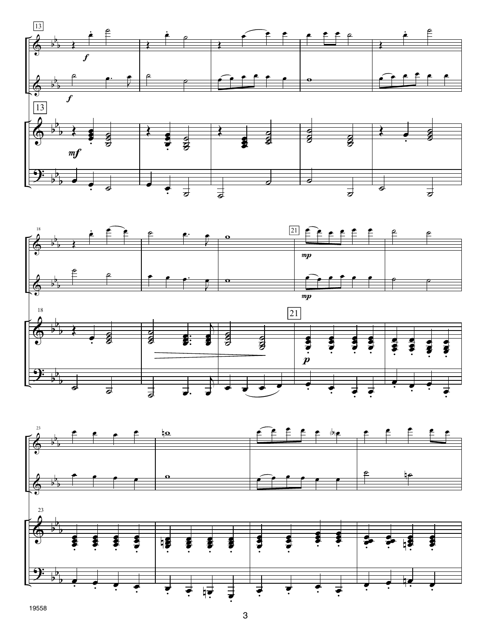



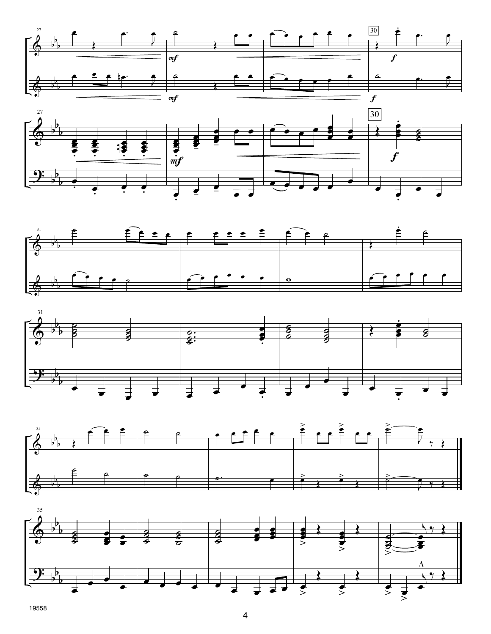



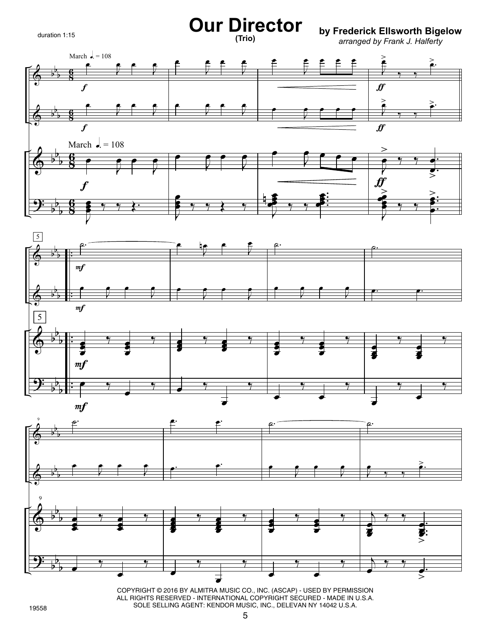### **Our Director by Frederick Ellsworth Bigelow**

**by Frederick Ellsworth Bigelow**<br>*arranged by Frank J. Halferty* 





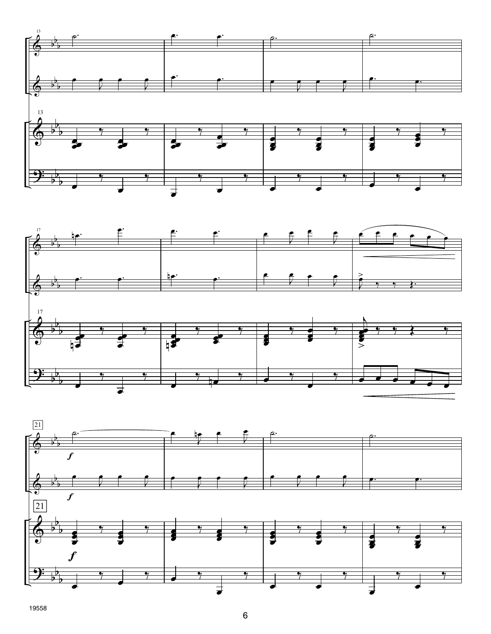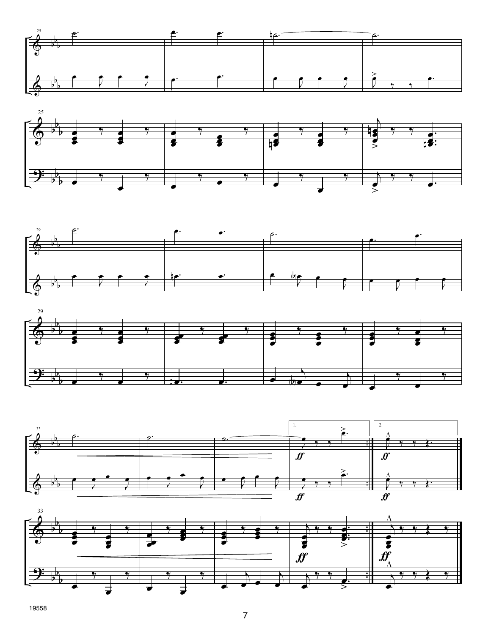



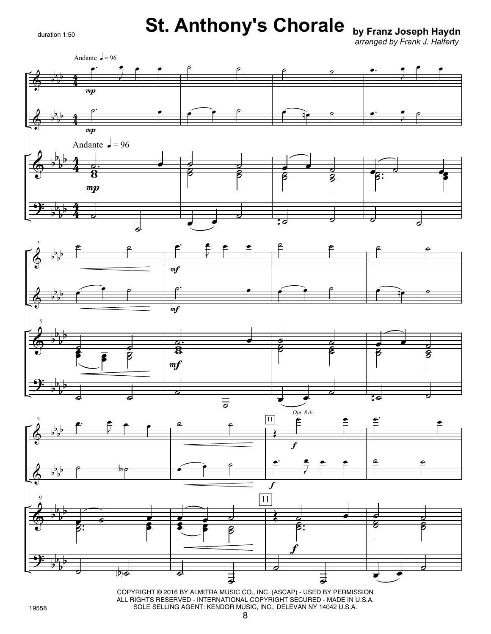duration 1:50 **St. Anthony's Chorale** 

*arranged by Frank J. Halferty*

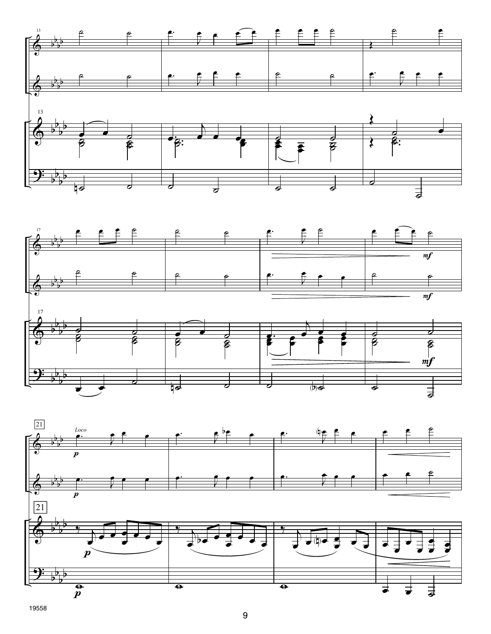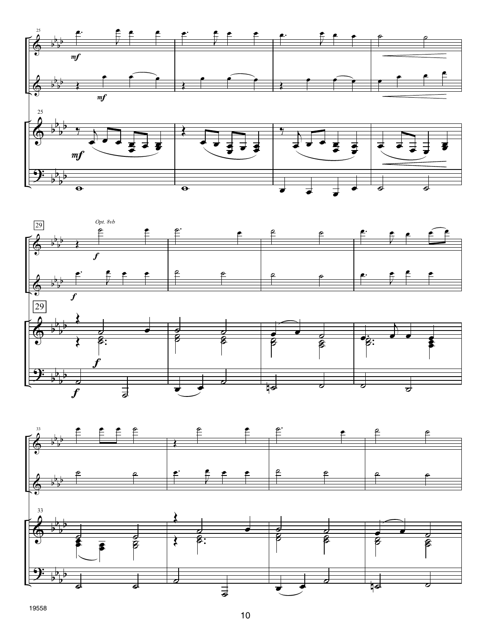



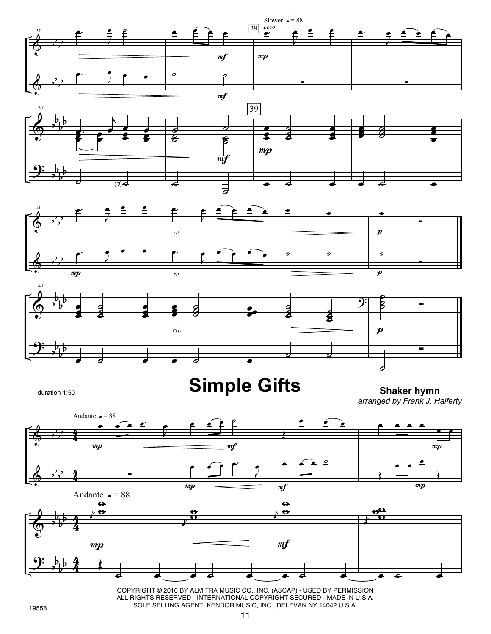

**Simple Gifts** Shaker hymn

## *arranged by Frank J. Halferty*

 $\Phi$  $\Phi$  $\Phi$ <u>.</u> b b b b b b b b b b b b b b b b 4 4 4 4  $\frac{4}{4}$ 4  $\frac{4}{4}$ 4  $e^{\frac{e^{x}}{x}}$ ₹ œ ∑ k œ  $\frac{e}{\mathbf{e}}$  $\frac{\Theta}{\Theta}$ Œ  $\overline{\phantom{a}}$  $mp$  $mp$ Andante  $\triangle$  = 88  $e \in \mathbb{R}$  $\epsilon$   $\epsilon$   $\epsilon$ ₹ œ j œ  $\frac{\Theta}{\Omega}$  $\overrightarrow{e}$   $\overrightarrow{e}$  $mp$  $mf$ Œ  $\epsilon$   $\epsilon$   $\epsilon$  $e \in \mathbb{R}$  $\mathsf{k}$ œ  $\bullet$  $\overline{\bullet}$ **ਦ** ਦੋ ਦ  $mf$  $m f$ œ œ œ œ œ œ Œ œ œ œ Œ j œ  $\frac{\infty}{\infty}$ **ਦ** ਦੋ ਦ  $mp$  $mp$ 

COPYRIGHT © 2016 BY ALMITRA MUSIC CO., INC. (ASCAP) - USED BY PERMISSION ALL RIGHTS RESERVED - INTERNATIONAL COPYRIGHT SECURED - MADE IN U.S.A. SOLE SELLING AGENT: KENDOR MUSIC, INC., DELEVAN NY 14042 U.S.A.

19558

Andante  $\triangle$  = 88

duration 1:50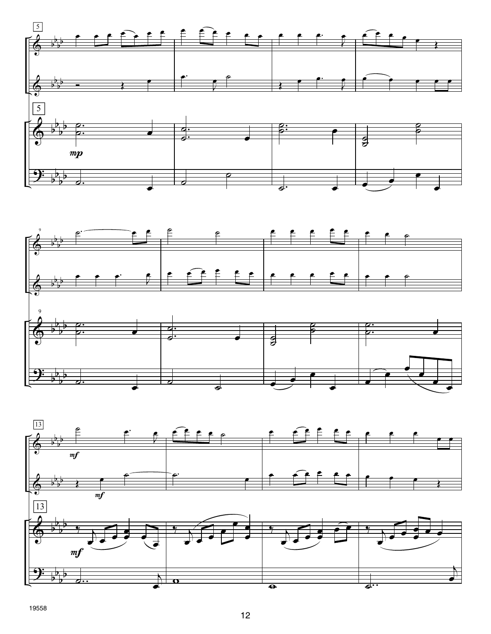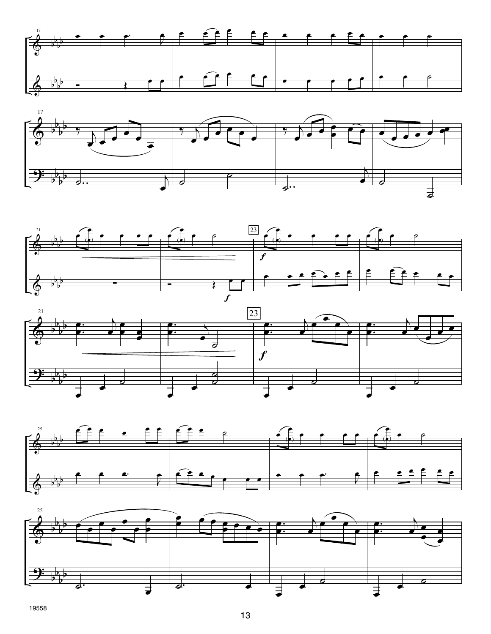





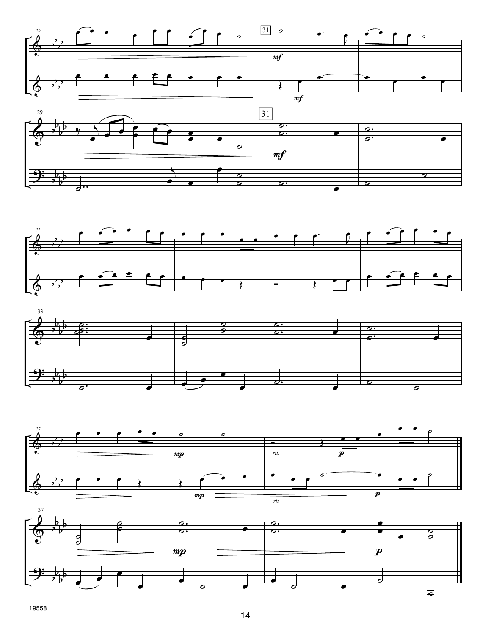





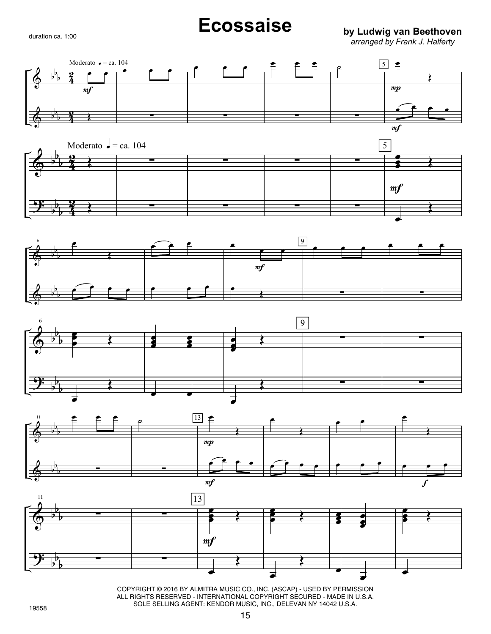duration ca. 1:00

**Ecossaise by Ludwig van Beethoven**

*arranged by Frank J. Halferty*



ALL RIGHTS RESERVED - INTERNATIONAL COPYRIGHT SECURED - MADE IN U.S.A. SOLE SELLING AGENT: KENDOR MUSIC, INC., DELEVAN NY 14042 U.S.A.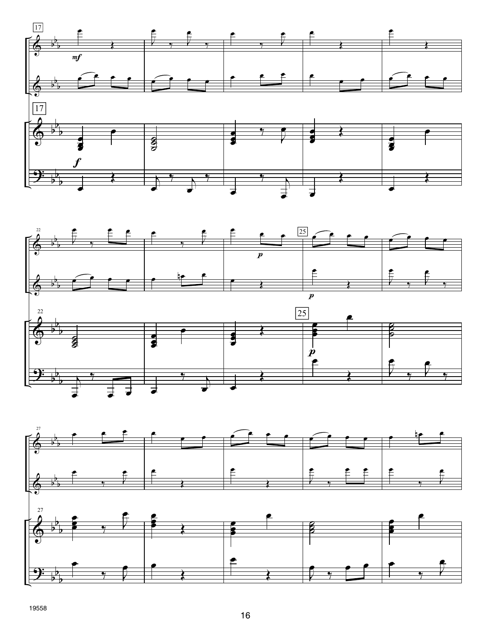





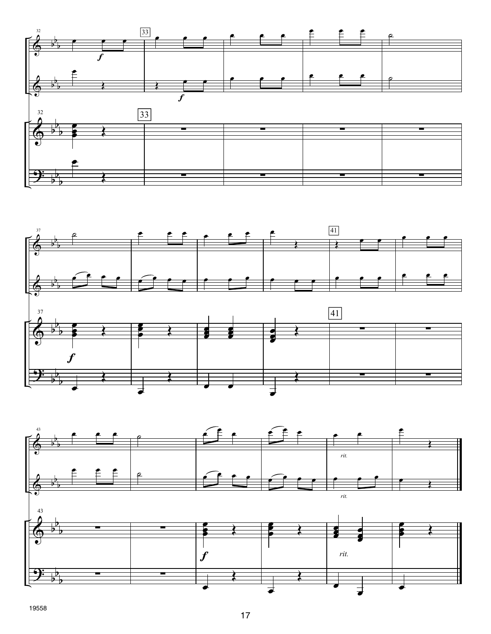



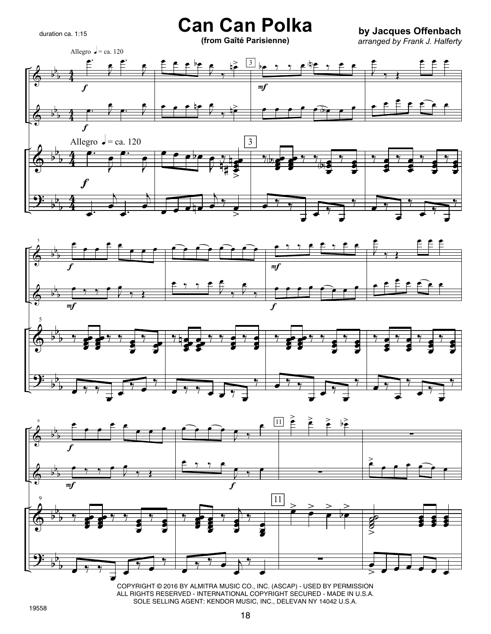### **Can Can Polka (from Gaîté Parisienne)**

**by Jacques Offenbach**

*arranged by Frank J. Halferty*





œ

œ  $\overline{\phantom{a}}$ 

œ

œ

 $\exists$ 

**e** 

œ œ ‰



COPYRIGHT © 2016 BY ALMITRA MUSIC CO., INC. (ASCAP) - USED BY PERMISSION ALL RIGHTS RESERVED - INTERNATIONAL COPYRIGHT SECURED - MADE IN U.S.A. SOLE SELLING AGENT: KENDOR MUSIC, INC., DELEVAN NY 14042 U.S.A.

œ  $\exists$ 

duration ca. 1:15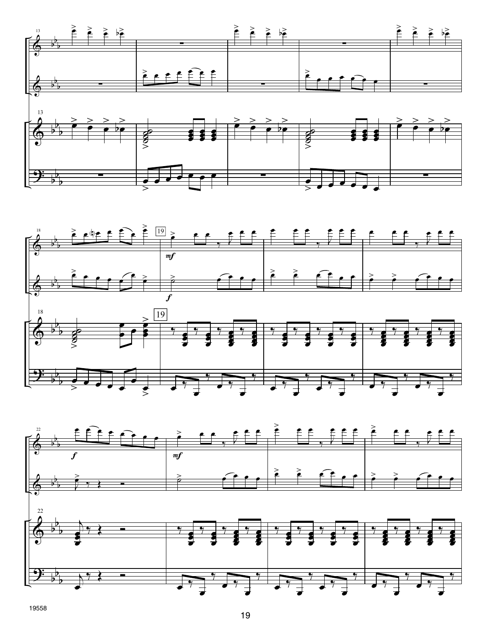



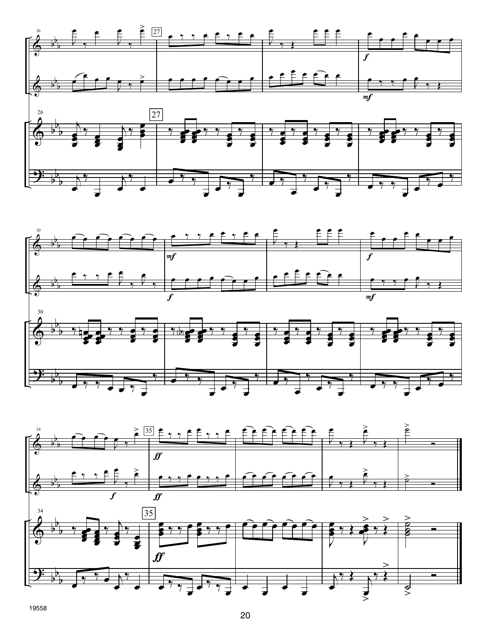





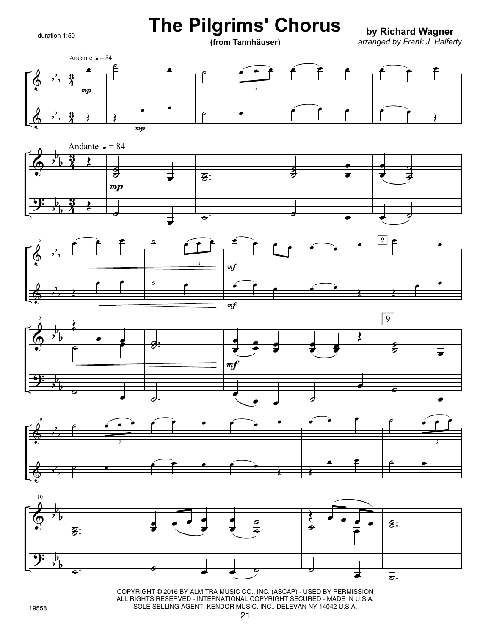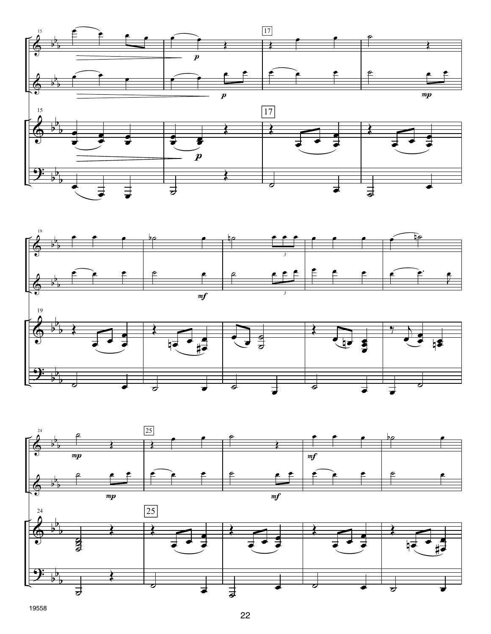





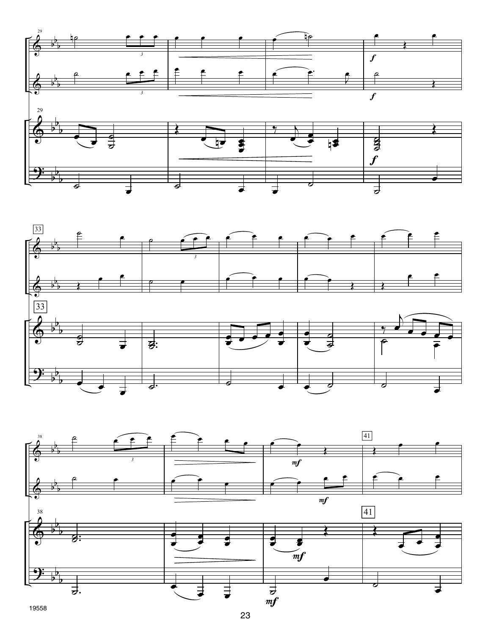



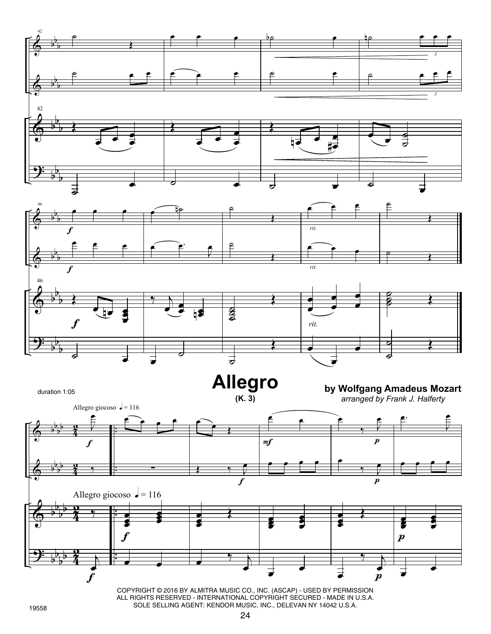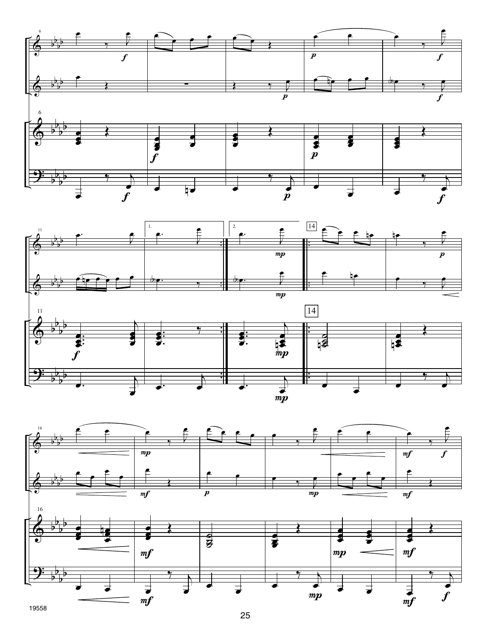